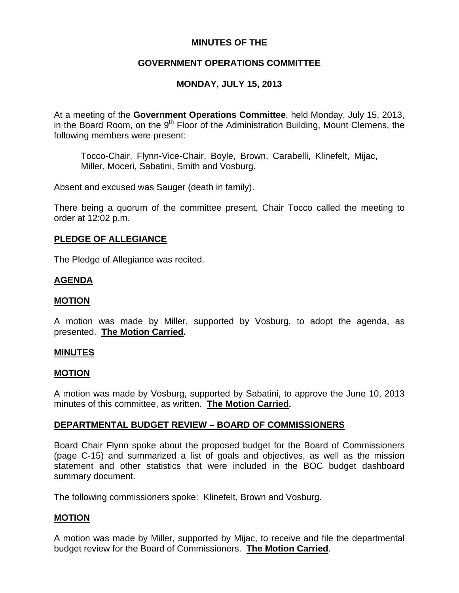# **MINUTES OF THE**

# **GOVERNMENT OPERATIONS COMMITTEE**

# **MONDAY, JULY 15, 2013**

At a meeting of the **Government Operations Committee**, held Monday, July 15, 2013, in the Board Room, on the 9<sup>th</sup> Floor of the Administration Building, Mount Clemens, the following members were present:

Tocco-Chair, Flynn-Vice-Chair, Boyle, Brown, Carabelli, Klinefelt, Mijac, Miller, Moceri, Sabatini, Smith and Vosburg.

Absent and excused was Sauger (death in family).

There being a quorum of the committee present, Chair Tocco called the meeting to order at 12:02 p.m.

### **PLEDGE OF ALLEGIANCE**

The Pledge of Allegiance was recited.

# **AGENDA**

### **MOTION**

A motion was made by Miller, supported by Vosburg, to adopt the agenda, as presented. **The Motion Carried.** 

### **MINUTES**

#### **MOTION**

A motion was made by Vosburg, supported by Sabatini, to approve the June 10, 2013 minutes of this committee, as written. **The Motion Carried.** 

### **DEPARTMENTAL BUDGET REVIEW – BOARD OF COMMISSIONERS**

Board Chair Flynn spoke about the proposed budget for the Board of Commissioners (page C-15) and summarized a list of goals and objectives, as well as the mission statement and other statistics that were included in the BOC budget dashboard summary document.

The following commissioners spoke: Klinefelt, Brown and Vosburg.

### **MOTION**

A motion was made by Miller, supported by Mijac, to receive and file the departmental budget review for the Board of Commissioners. **The Motion Carried**.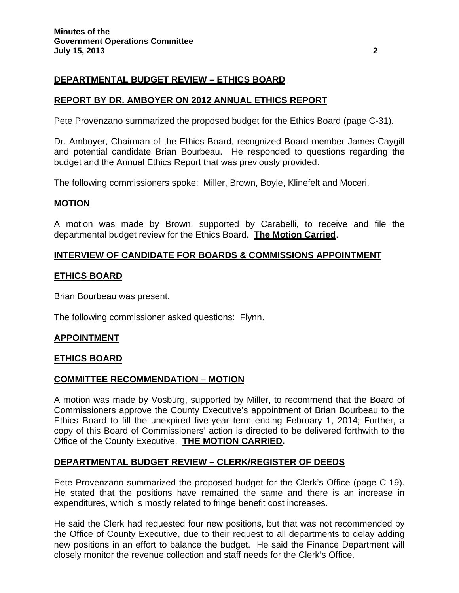# **DEPARTMENTAL BUDGET REVIEW – ETHICS BOARD**

# **REPORT BY DR. AMBOYER ON 2012 ANNUAL ETHICS REPORT**

Pete Provenzano summarized the proposed budget for the Ethics Board (page C-31).

Dr. Amboyer, Chairman of the Ethics Board, recognized Board member James Caygill and potential candidate Brian Bourbeau. He responded to questions regarding the budget and the Annual Ethics Report that was previously provided.

The following commissioners spoke: Miller, Brown, Boyle, Klinefelt and Moceri.

#### **MOTION**

A motion was made by Brown, supported by Carabelli, to receive and file the departmental budget review for the Ethics Board. **The Motion Carried**.

### **INTERVIEW OF CANDIDATE FOR BOARDS & COMMISSIONS APPOINTMENT**

#### **ETHICS BOARD**

Brian Bourbeau was present.

The following commissioner asked questions: Flynn.

### **APPOINTMENT**

#### **ETHICS BOARD**

### **COMMITTEE RECOMMENDATION – MOTION**

A motion was made by Vosburg, supported by Miller, to recommend that the Board of Commissioners approve the County Executive's appointment of Brian Bourbeau to the Ethics Board to fill the unexpired five-year term ending February 1, 2014; Further, a copy of this Board of Commissioners' action is directed to be delivered forthwith to the Office of the County Executive. **THE MOTION CARRIED.**

### **DEPARTMENTAL BUDGET REVIEW – CLERK/REGISTER OF DEEDS**

Pete Provenzano summarized the proposed budget for the Clerk's Office (page C-19). He stated that the positions have remained the same and there is an increase in expenditures, which is mostly related to fringe benefit cost increases.

He said the Clerk had requested four new positions, but that was not recommended by the Office of County Executive, due to their request to all departments to delay adding new positions in an effort to balance the budget. He said the Finance Department will closely monitor the revenue collection and staff needs for the Clerk's Office.